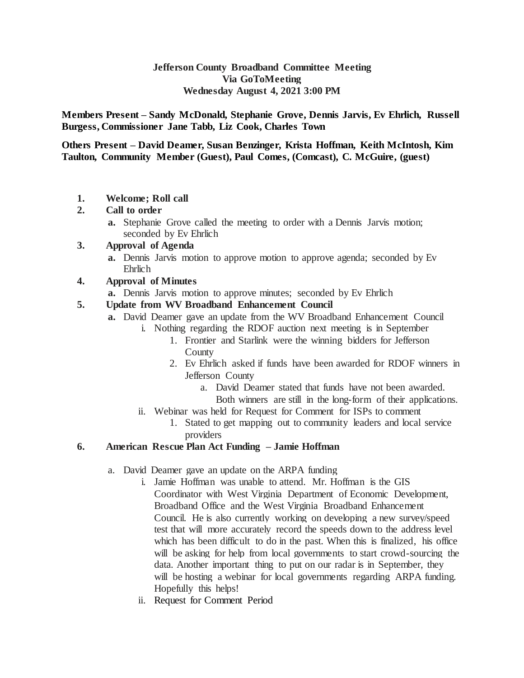## **Jefferson County Broadband Committee Meeting Via GoToMeeting Wednesday August 4, 2021 3:00 PM**

**Members Present – Sandy McDonald, Stephanie Grove, Dennis Jarvis, Ev Ehrlich, Russell Burgess, Commissioner Jane Tabb, Liz Cook, Charles Town**

**Others Present – David Deamer, Susan Benzinger, Krista Hoffman, Keith McIntosh, Kim Taulton, Community Member (Guest), Paul Comes, (Comcast), C. McGuire, (guest)**

**1. Welcome; Roll call**

# **2. Call to order**

**a.** Stephanie Grove called the meeting to order with a Dennis Jarvis motion; seconded by Ev Ehrlich

# **3. Approval of Agenda**

- **a.** Dennis Jarvis motion to approve motion to approve agenda; seconded by Ev Ehrlich
- **4. Approval of Minutes**
	- **a.** Dennis Jarvis motion to approve minutes; seconded by Ev Ehrlich

# **5. Update from WV Broadband Enhancement Council**

- **a.** David Deamer gave an update from the WV Broadband Enhancement Council
	- i. Nothing regarding the RDOF auction next meeting is in September
		- 1. Frontier and Starlink were the winning bidders for Jefferson County
		- 2. Ev Ehrlich asked if funds have been awarded for RDOF winners in Jefferson County
			- a. David Deamer stated that funds have not been awarded.
				- Both winners are still in the long-form of their applications.
	- ii. Webinar was held for Request for Comment for ISPs to comment
		- 1. Stated to get mapping out to community leaders and local service providers

# **6. American Rescue Plan Act Funding – Jamie Hoffman**

- a. David Deamer gave an update on the ARPA funding
	- i. Jamie Hoffman was unable to attend. Mr. Hoffman is the GIS Coordinator with West Virginia Department of Economic Development, Broadband Office and the West Virginia Broadband Enhancement Council. He is also currently working on developing a new survey/speed test that will more accurately record the speeds down to the address level which has been difficult to do in the past. When this is finalized, his office will be asking for help from local governments to start crowd-sourcing the data. Another important thing to put on our radar is in September, they will be hosting a webinar for local governments regarding ARPA funding. Hopefully this helps!
	- ii. Request for Comment Period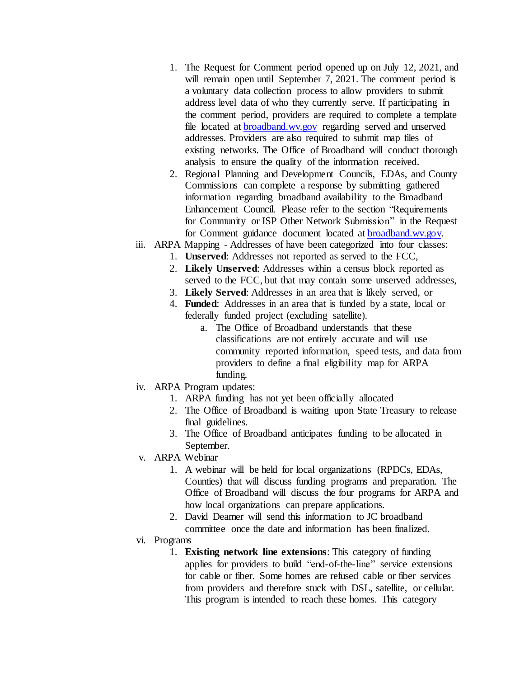- 1. The Request for Comment period opened up on July 12, 2021, and will remain open until September 7, 2021. The comment period is a voluntary data collection process to allow providers to submit address level data of who they currently serve. If participating in the comment period, providers are required to complete a template file located at [broadband.wv.gov](http://broadband.wv.gov/) regarding served and unserved addresses. Providers are also required to submit map files of existing networks. The Office of Broadband will conduct thorough analysis to ensure the quality of the information received.
- 2. Regional Planning and Development Councils, EDAs, and County Commissions can complete a response by submitting gathered information regarding broadband availability to the Broadband Enhancement Council. Please refer to the section "Requirements for Community or ISP Other Network Submission" in the Request for Comment guidance document located at [broadband.wv.gov.](http://broadband.wv.gov/)
- iii. ARPA Mapping Addresses of have been categorized into four classes:
	- 1. **Unserved**: Addresses not reported as served to the FCC,
	- 2. **Likely Unserved**: Addresses within a census block reported as served to the FCC, but that may contain some unserved addresses,
	- 3. **Likely Served**: Addresses in an area that is likely served, or
	- 4. **Funded**: Addresses in an area that is funded by a state, local or federally funded project (excluding satellite).
		- a. The Office of Broadband understands that these classifications are not entirely accurate and will use community reported information, speed tests, and data from providers to define a final eligibility map for ARPA funding.
- iv. ARPA Program updates:
	- 1. ARPA funding has not yet been officially allocated
	- 2. The Office of Broadband is waiting upon State Treasury to release final guidelines.
	- 3. The Office of Broadband anticipates funding to be allocated in September.
- v. ARPA Webinar
	- 1. A webinar will be held for local organizations (RPDCs, EDAs, Counties) that will discuss funding programs and preparation. The Office of Broadband will discuss the four programs for ARPA and how local organizations can prepare applications.
	- 2. David Deamer will send this information to JC broadband committee once the date and information has been finalized.
- vi. Programs
	- 1. **Existing network line extensions**: This category of funding applies for providers to build "end-of-the-line" service extensions for cable or fiber. Some homes are refused cable or fiber services from providers and therefore stuck with DSL, satellite, or cellular. This program is intended to reach these homes. This category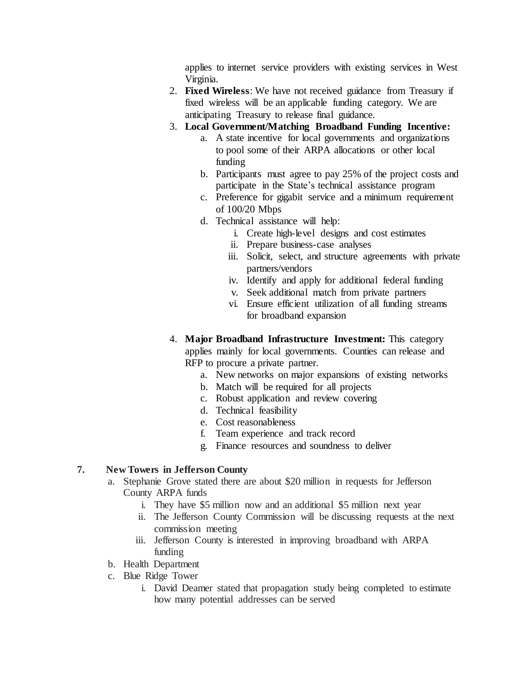applies to internet service providers with existing services in West Virginia.

- 2. **Fixed Wireless**: We have not received guidance from Treasury if fixed wireless will be an applicable funding category. We are anticipating Treasury to release final guidance.
- 3. **Local Government/Matching Broadband Funding Incentive:**
	- a. A state incentive for local governments and organizations to pool some of their ARPA allocations or other local funding
	- b. Participants must agree to pay 25% of the project costs and participate in the State's technical assistance program
	- c. Preference for gigabit service and a minimum requirement of 100/20 Mbps
	- d. Technical assistance will help:
		- i. Create high-level designs and cost estimates
		- ii. Prepare business-case analyses
		- iii. Solicit, select, and structure agreements with private partners/vendors
		- iv. Identify and apply for additional federal funding
		- v. Seek additional match from private partners
		- vi. Ensure efficient utilization of all funding streams for broadband expansion
- 4. **Major Broadband Infrastructure Investment:** This category applies mainly for local governments. Counties can release and RFP to procure a private partner.
	- a. New networks on major expansions of existing networks
	- b. Match will be required for all projects
	- c. Robust application and review covering
	- d. Technical feasibility
	- e. Cost reasonableness
	- f. Team experience and track record
	- g. Finance resources and soundness to deliver

# **7. New Towers in Jefferson County**

- a. Stephanie Grove stated there are about \$20 million in requests for Jefferson County ARPA funds
	- i. They have \$5 million now and an additional \$5 million next year
	- ii. The Jefferson County Commission will be discussing requests at the next commission meeting
	- iii. Jefferson County is interested in improving broadband with ARPA funding
- b. Health Department
- c. Blue Ridge Tower
	- i. David Deamer stated that propagation study being completed to estimate how many potential addresses can be served